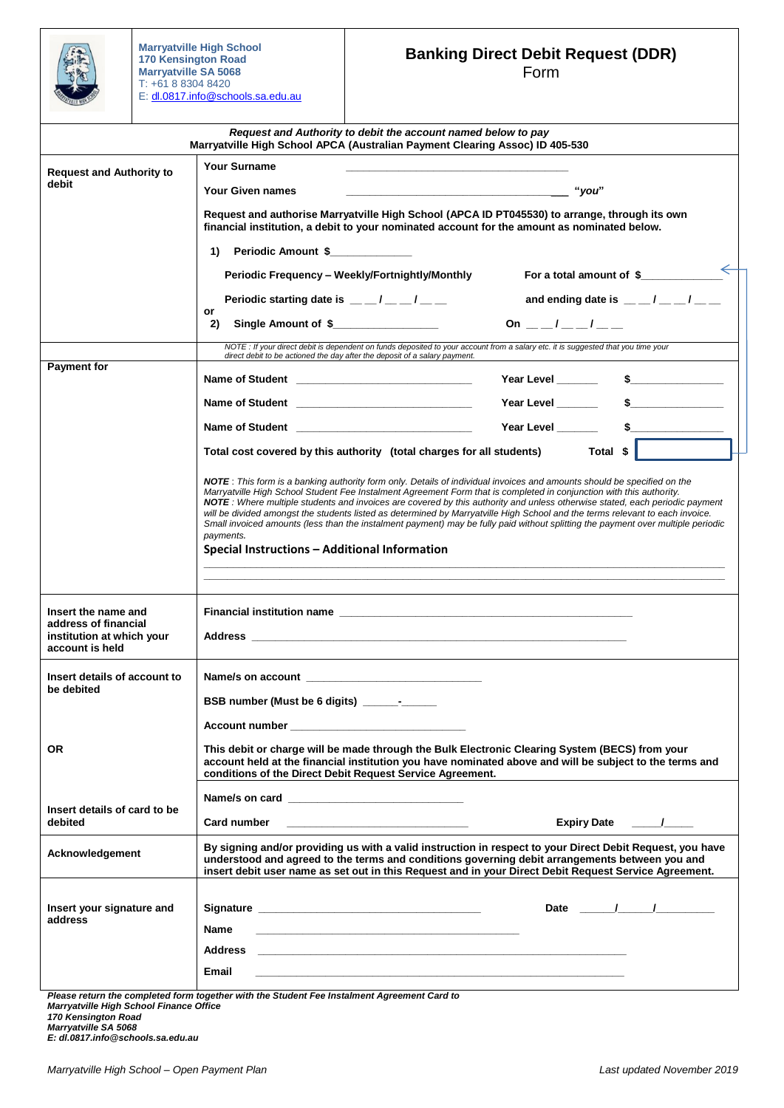

**Marryatville High School 170 Kensington Road Marryatville SA 5068**  T: +61 8 8304 8420 E: [dl.0817.info@schools.sa.edu.au](mailto:dl.0817.info@schools.sa.edu.au)

## **Banking Direct Debit Request (DDR)** Form

|                                                                                             | Request and Authority to debit the account named below to pay<br>Marryatville High School APCA (Australian Payment Clearing Assoc) ID 405-530                                                                                                                                                                                                                                                                                                                                                                                                                                                                                                                                                                     |                                                              |
|---------------------------------------------------------------------------------------------|-------------------------------------------------------------------------------------------------------------------------------------------------------------------------------------------------------------------------------------------------------------------------------------------------------------------------------------------------------------------------------------------------------------------------------------------------------------------------------------------------------------------------------------------------------------------------------------------------------------------------------------------------------------------------------------------------------------------|--------------------------------------------------------------|
| <b>Request and Authority to</b>                                                             | <b>Your Surname</b>                                                                                                                                                                                                                                                                                                                                                                                                                                                                                                                                                                                                                                                                                               |                                                              |
| debit                                                                                       | Your Given names                                                                                                                                                                                                                                                                                                                                                                                                                                                                                                                                                                                                                                                                                                  | "you"                                                        |
|                                                                                             | Request and authorise Marryatville High School (APCA ID PT045530) to arrange, through its own<br>financial institution, a debit to your nominated account for the amount as nominated below.                                                                                                                                                                                                                                                                                                                                                                                                                                                                                                                      |                                                              |
|                                                                                             | Periodic Amount \$<br>1)                                                                                                                                                                                                                                                                                                                                                                                                                                                                                                                                                                                                                                                                                          |                                                              |
|                                                                                             | Periodic Frequency - Weekly/Fortnightly/Monthly                                                                                                                                                                                                                                                                                                                                                                                                                                                                                                                                                                                                                                                                   | For a total amount of \$                                     |
|                                                                                             | Periodic starting date is $\mu = \mu / \mu = \mu$                                                                                                                                                                                                                                                                                                                                                                                                                                                                                                                                                                                                                                                                 | and ending date is $\frac{m}{m}$ $\frac{m}{m}$ $\frac{m}{m}$ |
|                                                                                             | or<br>Single Amount of \$<br>2)                                                                                                                                                                                                                                                                                                                                                                                                                                                                                                                                                                                                                                                                                   | On $\frac{1}{\sqrt{2}}$ /                                    |
|                                                                                             | NOTE : If your direct debit is dependent on funds deposited to your account from a salary etc. it is suggested that you time your<br>direct debit to be actioned the day after the deposit of a salary payment.                                                                                                                                                                                                                                                                                                                                                                                                                                                                                                   |                                                              |
| <b>Payment for</b>                                                                          |                                                                                                                                                                                                                                                                                                                                                                                                                                                                                                                                                                                                                                                                                                                   | Year Level ______<br>$\sim$                                  |
|                                                                                             | Name of Student Name of Student                                                                                                                                                                                                                                                                                                                                                                                                                                                                                                                                                                                                                                                                                   |                                                              |
|                                                                                             | Name of Student and the control of the control of the control of the control of the control of the control of the control of the control of the control of the control of the control of the control of the control of the con                                                                                                                                                                                                                                                                                                                                                                                                                                                                                    | Year Level _______<br>$\sim$ 5                               |
|                                                                                             | Total cost covered by this authority (total charges for all students)                                                                                                                                                                                                                                                                                                                                                                                                                                                                                                                                                                                                                                             | Total \$                                                     |
|                                                                                             |                                                                                                                                                                                                                                                                                                                                                                                                                                                                                                                                                                                                                                                                                                                   |                                                              |
|                                                                                             | NOTE: This form is a banking authority form only. Details of individual invoices and amounts should be specified on the<br>Marryatville High School Student Fee Instalment Agreement Form that is completed in conjunction with this authority.<br>NOTE: Where multiple students and invoices are covered by this authority and unless otherwise stated, each periodic payment<br>will be divided amongst the students listed as determined by Marryatville High School and the terms relevant to each invoice.<br>Small invoiced amounts (less than the instalment payment) may be fully paid without splitting the payment over multiple periodic<br>payments.<br>Special Instructions – Additional Information |                                                              |
|                                                                                             |                                                                                                                                                                                                                                                                                                                                                                                                                                                                                                                                                                                                                                                                                                                   |                                                              |
| Insert the name and<br>address of financial<br>institution at which your<br>account is held |                                                                                                                                                                                                                                                                                                                                                                                                                                                                                                                                                                                                                                                                                                                   |                                                              |
| Insert details of account to                                                                | Name/s on account example and a series of the series of the series of the series of the series of the series of the series of the series of the series of the series of the series of the series of the series of the series o                                                                                                                                                                                                                                                                                                                                                                                                                                                                                    |                                                              |
| be debited                                                                                  | BSB number (Must be 6 digits) _______-                                                                                                                                                                                                                                                                                                                                                                                                                                                                                                                                                                                                                                                                            |                                                              |
|                                                                                             | Account number and the control of the control of the control of the control of the control of the control of the control of the control of the control of the control of the control of the control of the control of the cont                                                                                                                                                                                                                                                                                                                                                                                                                                                                                    |                                                              |
| <b>OR</b>                                                                                   | This debit or charge will be made through the Bulk Electronic Clearing System (BECS) from your<br>account held at the financial institution you have nominated above and will be subject to the terms and<br>conditions of the Direct Debit Request Service Agreement.                                                                                                                                                                                                                                                                                                                                                                                                                                            |                                                              |
|                                                                                             | Name/s on card and the state of the state of the state of the state of the state of the state of the state of the state of the state of the state of the state of the state of the state of the state of the state of the stat                                                                                                                                                                                                                                                                                                                                                                                                                                                                                    |                                                              |
| Insert details of card to be<br>debited                                                     | Card number                                                                                                                                                                                                                                                                                                                                                                                                                                                                                                                                                                                                                                                                                                       | Expiry Date /                                                |
| Acknowledgement                                                                             | By signing and/or providing us with a valid instruction in respect to your Direct Debit Request, you have<br>understood and agreed to the terms and conditions governing debit arrangements between you and<br>insert debit user name as set out in this Request and in your Direct Debit Request Service Agreement.                                                                                                                                                                                                                                                                                                                                                                                              |                                                              |
| Insert your signature and                                                                   | Signature experience and the state of the state of the state of the state of the state of the state of the state of the state of the state of the state of the state of the state of the state of the state of the state of th                                                                                                                                                                                                                                                                                                                                                                                                                                                                                    | Date $\qquad \qquad$ / $\qquad \qquad$                       |
| address                                                                                     | Name<br><u> 1989 - Johann Stoff, amerikansk politiker (d. 1989)</u>                                                                                                                                                                                                                                                                                                                                                                                                                                                                                                                                                                                                                                               |                                                              |
|                                                                                             | Address and the contract of the contract of the contract of the contract of the contract of the contract of the                                                                                                                                                                                                                                                                                                                                                                                                                                                                                                                                                                                                   |                                                              |
|                                                                                             | Email                                                                                                                                                                                                                                                                                                                                                                                                                                                                                                                                                                                                                                                                                                             |                                                              |
|                                                                                             | Please return the completed form together with the Student Fee Instalment Agreement Card to                                                                                                                                                                                                                                                                                                                                                                                                                                                                                                                                                                                                                       |                                                              |

*Please return the completed form together with the Student Fee Instalment Agreement Card to Marryatville High School Finance Office*

*170 Kensington Road* 

*Marryatville SA 5068* 

*E: dl.0817.info@schools.sa.edu.au*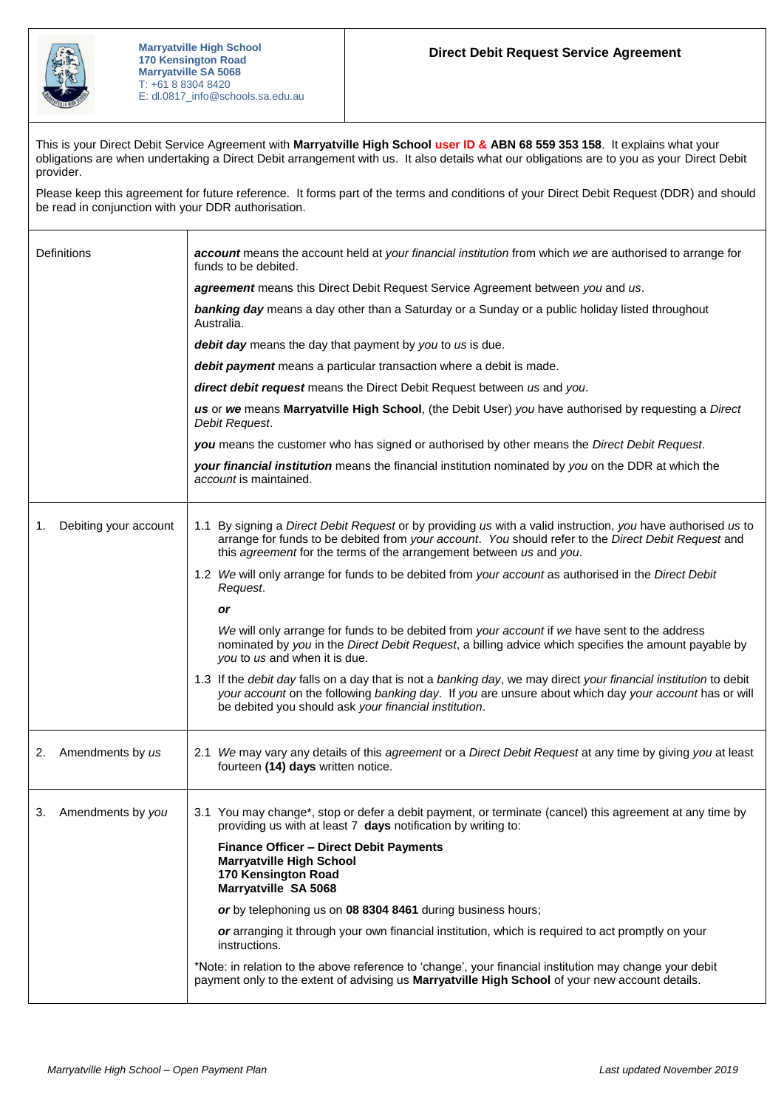

This is your Direct Debit Service Agreement with **Marryatville High School user ID & ABN 68 559 353 158**. It explains what your obligations are when undertaking a Direct Debit arrangement with us. It also details what our obligations are to you as your Direct Debit provider.

Please keep this agreement for future reference. It forms part of the terms and conditions of your Direct Debit Request (DDR) and should be read in conjunction with your DDR authorisation.

| Definitions                 | account means the account held at your financial institution from which we are authorised to arrange for<br>funds to be debited.                                                                                                                                                           |
|-----------------------------|--------------------------------------------------------------------------------------------------------------------------------------------------------------------------------------------------------------------------------------------------------------------------------------------|
|                             | agreement means this Direct Debit Request Service Agreement between you and us.                                                                                                                                                                                                            |
|                             | banking day means a day other than a Saturday or a Sunday or a public holiday listed throughout<br>Australia.                                                                                                                                                                              |
|                             | debit day means the day that payment by you to us is due.                                                                                                                                                                                                                                  |
|                             | debit payment means a particular transaction where a debit is made.                                                                                                                                                                                                                        |
|                             | direct debit request means the Direct Debit Request between us and you.                                                                                                                                                                                                                    |
|                             | us or we means Marryatville High School, (the Debit User) you have authorised by requesting a Direct<br>Debit Request.                                                                                                                                                                     |
|                             | you means the customer who has signed or authorised by other means the Direct Debit Request.                                                                                                                                                                                               |
|                             | your financial institution means the financial institution nominated by you on the DDR at which the<br>account is maintained.                                                                                                                                                              |
| Debiting your account<br>1. | 1.1 By signing a Direct Debit Request or by providing us with a valid instruction, you have authorised us to<br>arrange for funds to be debited from your account. You should refer to the Direct Debit Request and<br>this agreement for the terms of the arrangement between us and you. |
|                             | 1.2 We will only arrange for funds to be debited from your account as authorised in the Direct Debit<br>Request.                                                                                                                                                                           |
|                             | or                                                                                                                                                                                                                                                                                         |
|                             | We will only arrange for funds to be debited from your account if we have sent to the address<br>nominated by you in the Direct Debit Request, a billing advice which specifies the amount payable by<br>you to us and when it is due.                                                     |
|                             | 1.3 If the debit day falls on a day that is not a banking day, we may direct your financial institution to debit<br>your account on the following banking day. If you are unsure about which day your account has or will<br>be debited you should ask your financial institution.         |
| Amendments by us<br>2.      | 2.1 We may vary any details of this agreement or a Direct Debit Request at any time by giving you at least<br>fourteen (14) days written notice.                                                                                                                                           |
| 3. Amendments by you        | 3.1 You may change*, stop or defer a debit payment, or terminate (cancel) this agreement at any time by<br>providing us with at least 7 days notification by writing to:                                                                                                                   |
|                             | <b>Finance Officer - Direct Debit Payments</b><br><b>Marryatville High School</b><br>170 Kensington Road<br>Marryatville SA 5068                                                                                                                                                           |
|                             | or by telephoning us on 08 8304 8461 during business hours;                                                                                                                                                                                                                                |
|                             | or arranging it through your own financial institution, which is required to act promptly on your<br>instructions.                                                                                                                                                                         |
|                             | *Note: in relation to the above reference to 'change', your financial institution may change your debit<br>payment only to the extent of advising us Marryatville High School of your new account details.                                                                                 |
|                             |                                                                                                                                                                                                                                                                                            |